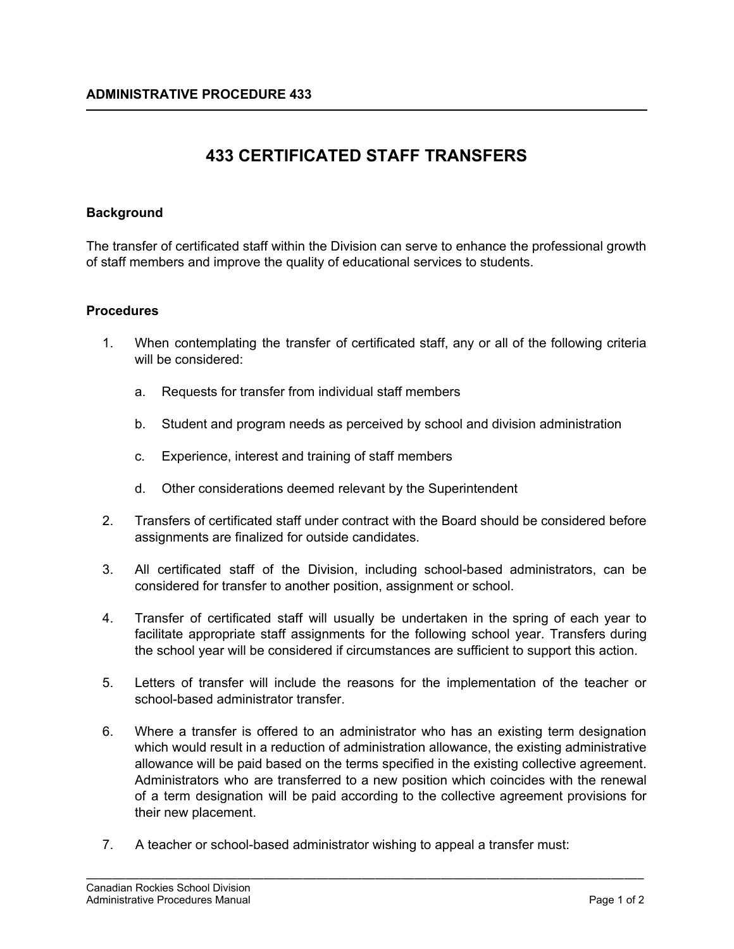# **433 CERTIFICATED STAFF TRANSFERS**

## **Background**

The transfer of certificated staff within the Division can serve to enhance the professional growth of staff members and improve the quality of educational services to students.

### **Procedures**

- 1. When contemplating the transfer of certificated staff, any or all of the following criteria will be considered:
	- a. Requests for transfer from individual staff members
	- b. Student and program needs as perceived by school and division administration
	- c. Experience, interest and training of staff members
	- d. Other considerations deemed relevant by the Superintendent
- 2. Transfers of certificated staff under contract with the Board should be considered before assignments are finalized for outside candidates.
- 3. All certificated staff of the Division, including school-based administrators, can be considered for transfer to another position, assignment or school.
- 4. Transfer of certificated staff will usually be undertaken in the spring of each year to facilitate appropriate staff assignments for the following school year. Transfers during the school year will be considered if circumstances are sufficient to support this action.
- 5. Letters of transfer will include the reasons for the implementation of the teacher or school-based administrator transfer.
- 6. Where a transfer is offered to an administrator who has an existing term designation which would result in a reduction of administration allowance, the existing administrative allowance will be paid based on the terms specified in the existing collective agreement. Administrators who are transferred to a new position which coincides with the renewal of a term designation will be paid according to the collective agreement provisions for their new placement.

\_\_\_\_\_\_\_\_\_\_\_\_\_\_\_\_\_\_\_\_\_\_\_\_\_\_\_\_\_\_\_\_\_\_\_\_\_\_\_\_\_\_\_\_\_\_\_\_\_\_\_\_\_\_\_\_\_\_\_\_\_\_\_\_\_\_\_\_\_\_\_\_\_\_\_\_\_\_\_\_\_\_\_\_\_

7. A teacher or school-based administrator wishing to appeal a transfer must: